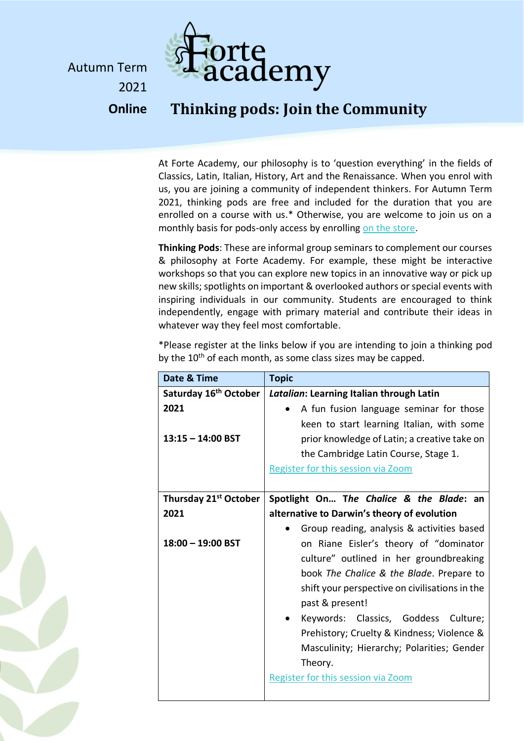

Autumn Term 2021 **Online**

## **Thinking pods: Join the Community**

At Forte Academy, our philosophy is to 'question everything' in the fields of Classics, Latin, Italian, History, Art and the Renaissance. When you enrol with us, you are joining a community of independent thinkers. For Autumn Term 2021, thinking pods are free and included for the duration that you are enrolled on a course with us.\* Otherwise, you are welcome to join us on a monthly basis for pods-only access by enrolling [on the store.](http://www.forte-academy.co.uk/store)

**Thinking Pods**: These are informal group seminars to complement our courses & philosophy at Forte Academy. For example, these might be interactive workshops so that you can explore new topics in an innovative way or pick up new skills; spotlights on important & overlooked authors orspecial events with inspiring individuals in our community. Students are encouraged to think independently, engage with primary material and contribute their ideas in whatever way they feel most comfortable.

\*Please register at the links below if you are intending to join a thinking pod by the  $10<sup>th</sup>$  of each month, as some class sizes may be capped.

| Date & Time                       | <b>Topic</b>                                   |
|-----------------------------------|------------------------------------------------|
| Saturday 16 <sup>th</sup> October | Latalian: Learning Italian through Latin       |
| 2021                              | A fun fusion language seminar for those        |
|                                   | keen to start learning Italian, with some      |
| $13:15 - 14:00$ BST               | prior knowledge of Latin; a creative take on   |
|                                   | the Cambridge Latin Course, Stage 1.           |
|                                   | Register for this session via Zoom             |
|                                   |                                                |
| Thursday 21 <sup>st</sup> October | Spotlight On The Chalice & the Blade: an       |
| 2021                              | alternative to Darwin's theory of evolution    |
|                                   | Group reading, analysis & activities based     |
| $18:00 - 19:00$ BST               | on Riane Eisler's theory of "dominator         |
|                                   | culture" outlined in her groundbreaking        |
|                                   | book The Chalice & the Blade. Prepare to       |
|                                   | shift your perspective on civilisations in the |
|                                   | past & present!                                |
|                                   | Keywords: Classics, Goddess Culture;           |
|                                   | Prehistory; Cruelty & Kindness; Violence &     |
|                                   |                                                |
|                                   | Masculinity; Hierarchy; Polarities; Gender     |
|                                   | Theory.                                        |
|                                   | Register for this session via Zoom             |
|                                   |                                                |